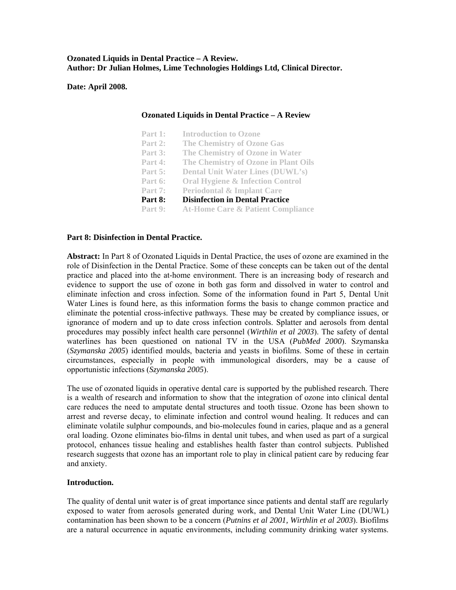### **Ozonated Liquids in Dental Practice – A Review. Author: Dr Julian Holmes, Lime Technologies Holdings Ltd, Clinical Director.**

**Date: April 2008.** 

### **Ozonated Liquids in Dental Practice – A Review**

| Part 1: | <b>Introduction to Ozone</b>                 |
|---------|----------------------------------------------|
| Part 2: | <b>The Chemistry of Ozone Gas</b>            |
| Part 3: | The Chemistry of Ozone in Water              |
| Part 4: | The Chemistry of Ozone in Plant Oils         |
| Part 5: | <b>Dental Unit Water Lines (DUWL's)</b>      |
| Part 6: | <b>Oral Hygiene &amp; Infection Control</b>  |
| Part 7: | <b>Periodontal &amp; Implant Care</b>        |
| Part 8: | <b>Disinfection in Dental Practice</b>       |
| Part 9: | <b>At-Home Care &amp; Patient Compliance</b> |

### Part 8: Disinfection in Dental Practice.

Abstract: In Part 8 of Ozonated Liquids in Dental Practice, the uses of ozone are examined in the role of Disinfection in the Dental Practice. Some of these concepts can be taken out of the dental practice and placed into the at-home environment. There is an increasing body of research and evidence to support the use of ozone in both gas form and dissolved in water to control and eliminate infection and cross infection. Some of the information found in Part 5, Dental Unit Water Lines is found here, as this information forms the basis to change common practice and eliminate the potential cross-infective pathways. These may be created by compliance issues, or ignorance of modern and up to date cross infection controls. Splatter and aerosols from dental procedures may possibly infect health care personnel (*Wirthlin et al 2003*). The safety of dental waterlines has been questioned on national TV in the USA (*PubMed 2000*). Szymanska (*Szymanska 2005*) identified moulds, bacteria and yeasts in biofilms. Some of these in certain circumstances, especially in people with immunological disorders, may be a cause of opportunistic infections (*Szymanska 2005*).

eliminate volatile sulphur compounds, and bio-molecules found in caries, plaque and as a general The use of ozonated liquids in operative dental care is supported by the published research. There is a wealth of research and information to show that the integration of ozone into clinical dental care reduces the need to amputate dental structures and tooth tissue. Ozone has been shown to arrest and reverse decay, to eliminate infection and control wound healing. It reduces and can oral loading. Ozone eliminates bio-films in dental unit tubes, and when used as part of a surgical protocol, enhances tissue healing and establishes health faster than control subjects. Published research suggests that ozone has an important role to play in clinical patient care by reducing fear and anxiety.

#### **Introduction.**

contamination has been shown to be a concern (*Putnins et al 2001*, Wirthlin et al 2003). Biofilms are a natural occurrence in aquatic environments, including community drinking water systems. The quality of dental unit water is of great importance since patients and dental staff are regularly exposed to water from aerosols generated during work, and Dental Unit Water Line (DUWL)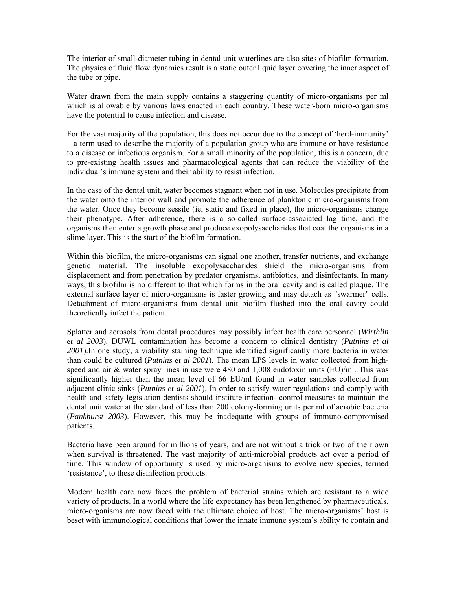The interior of small-diameter tubing in dental unit waterlines are also sites of biofilm formation. The physics of fluid flow dynamics result is a static outer liquid layer covering the inner aspect of the tube or pipe.

Water drawn from the main supply contains a staggering quantity of micro-organisms per ml which is allowable by various laws enacted in each country. These water-born micro-organisms have the potential to cause infection and disease.

For the vast majority of the population, this does not occur due to the concept of 'herd-immunity' - a term used to describe the majority of a population group who are immune or have resistance individual's immune system and their ability to resist infection. to a disease or infectious organism. For a small minority of the population, this is a concern, due to pre-existing health issues and pharmacological agents that can reduce the viability of the

organisms then enter a growth phase and produce exopolysaccharides that coat the organisms in a slime layer. This is the start of the biofilm formation. In the case of the dental unit, water becomes stagnant when not in use. Molecules precipitate from the water onto the interior wall and promote the adherence of planktonic micro-organisms from the water. Once they become sessile (ie, static and fixed in place), the micro-organisms change their phenotype. After adherence, there is a so-called surface-associated lag time, and the

external surface layer of micro-organisms is faster growing and may detach as "swarmer" cells. Detachment of micro-organisms from dental unit biofilm flushed into the oral cavity could Within this biofilm, the micro-organisms can signal one another, transfer nutrients, and exchange genetic material. The insoluble exopolysaccharides shield the micro-organisms from displacement and from penetration by predator organisms, antibiotics, and disinfectants. In many ways, this biofilm is no different to that which forms in the oral cavity and is called plaque. The theoretically infect the patient.

speed and air  $&$  water spray lines in use were 480 and 1,008 endotoxin units (EU)/ml. This was significantly higher than the mean level of 66 EU/ml found in water samples collected from Splatter and aerosols from dental procedures may possibly infect health care personnel (*Wirthlin et al 2003*). DUWL contamination has become a concern to clinical dentistry (*Putnins et al 2001*).In one study, a viability staining technique identified significantly more bacteria in water than could be cultured (*Putnins et al 2001*). The mean LPS levels in water collected from highadjacent clinic sinks (*Putnins et al 2001*). In order to satisfy water regulations and comply with health and safety legislation dentists should institute infection- control measures to maintain the dental unit water at the standard of less than 200 colony-forming units per ml of aerobic bacteria (*Pankhurst 2003*). However, this may be inadequate with groups of immuno-compromised patients.

Bacteria have been around for millions of years, and are not without a trick or two of their own when survival is threatened. The vast majority of anti-microbial products act over a period of time. This window of opportunity is used by micro-organisms to evolve new species, termed 'resistance', to these disinfection products.

Modern health care now faces the problem of bacterial strains which are resistant to a wide variety of products. In a world where the life expectancy has been lengthened by pharmaceuticals, micro-organisms are now faced with the ultimate choice of host. The micro-organisms' host is beset with immunological conditions that lower the innate immune system's ability to contain and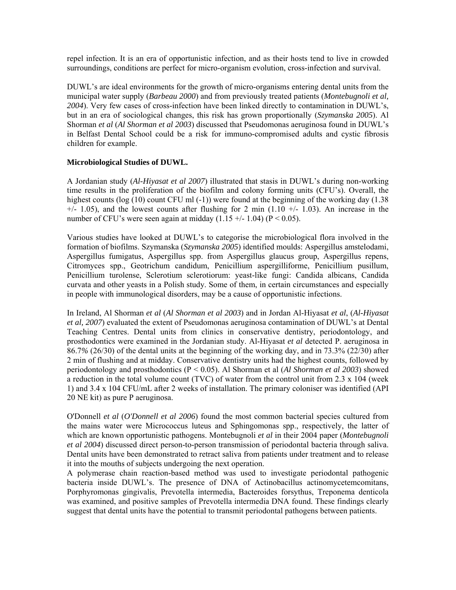repel infection. It is an era of opportunistic infection, and as their hosts tend to live in crowded surroundings, conditions are perfect for micro-organism evolution, cross-infection and survival.

Shorman et al (Al Shorman et al 2003) discussed that Pseudomonas aeruginosa found in DUWL's DUWL's are ideal environments for the growth of micro-organisms entering dental units from the municipal water supply (*Barbeau 2000*) and from previously treated patients (*Montebugnoli et al, 2004*). Very few cases of cross-infection have been linked directly to contamination in DUWL's, but in an era of sociological changes, this risk has grown proportionally (*Szymanska 2005*). Al in Belfast Dental School could be a risk for immuno-compromised adults and cystic fibrosis children for example.

# **Microbiological Studies of DUWL.**

time results in the proliferation of the biofilm and colony forming units (CFU's). Overall, the highest counts ( $log(10)$  count CFU ml  $(-1)$ ) were found at the beginning of the working day (1.38  $+/-$  1.05), and the lowest counts after flushing for 2 min (1.10  $+/-$  1.03). An increase in the number of CFU's were seen again at midday  $(1.15 +/- 1.04)$  (P < 0.05). A Jordanian study (*Al-Hiyasat et al 2007*) illustrated that stasis in DUWL's during non-working

Citromyces spp., Geotrichum candidum, Penicillium aspergilliforme, Penicillium pusillum, Penicillium turolense, Sclerotium sclerotiorum: yeast-like fungi: Candida albicans, Candida Various studies have looked at DUWL's to categorise the microbiological flora involved in the formation of biofilms. Szymanska (*Szymanska 2005*) identified moulds: Aspergillus amstelodami, Aspergillus fumigatus, Aspergillus spp. from Aspergillus glaucus group, Aspergillus repens, curvata and other yeasts in a Polish study. Some of them, in certain circumstances and especially in people with immunological disorders, may be a cause of opportunistic infections.

prosthodontics were examined in the Jordanian study. Al-Hiyasat et al detected P. aeruginosa in 6.7*%* (26/30) of the dental units at the beginning of the working day, and in 73.3% (22/30) after 8 In Ireland, Al Shorman *et al* (*Al Shorman et al 2003*) and in Jordan Al-Hiyasat *et al*, (*Al-Hiyasat et al, 2007*) evaluated the extent of Pseudomonas aeruginosa contamination of DUWL's at Dental Teaching Centres. Dental units from clinics in conservative dentistry, periodontology, and 2 min of flushing and at midday. Conservative dentistry units had the highest counts, followed by periodontology and prosthodontics (P < 0.05). Al Shorman et al (*Al Shorman et al 2003*) showed a reduction in the total volume count (TVC) of water from the control unit from 2.3 x 104 (week 1) and 3.4 x 104 CFU/mL after 2 weeks of installation. The primary coloniser was identified (API 20 NE kit) as pure P aeruginosa.

et al 2004) discussed direct person-to-person transmission of periodontal bacteria through saliva. Dental units have been demonstrated to retract saliva from patients under treatment and to release O'Donnell *et al* (*O'Donnell et al 2006*) found the most common bacterial species cultured from the mains water were Micrococcus luteus and Sphingomonas spp., respectively, the latter of which are known opportunistic pathogens. Montebugnoli *et al* in their 2004 paper (*Montebugnoli*  it into the mouths of subjects undergoing the next operation.

suggest that dental units have the potential to transmit periodontal pathogens between patients. A polymerase chain reaction-based method was used to investigate periodontal pathogenic bacteria inside DUWL's. The presence of DNA of Actinobacillus actinomycetemcomitans, Porphyromonas gingivalis, Prevotella intermedia, Bacteroides forsythus, Treponema denticola was examined, and positive samples of Prevotella intermedia DNA found. These findings clearly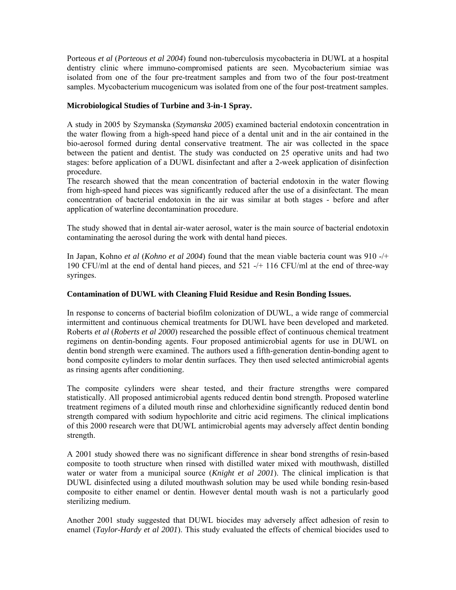Porteous *et al* (*Porteous et al 2004*) found non-tuberculosis mycobacteria in DUWL at a hospital dentistry clinic where immuno-compromised patients are seen. Mycobacterium simiae was isolated from one of the four pre-treatment samples and from two of the four post-treatment samples. Mycobacterium mucogenicum was isolated from one of the four post-treatment samples.

# **Microbiological Studies of Turbine and 3-in-1 Spray.**

the water flowing from a high-speed hand piece of a dental unit and in the air contained in the bio-aerosol formed during dental conservative treatment. The air was collected in the space between the patient and dentist. The study was conducted on 25 operative units and had two A study in 2005 by Szymanska (*Szymanska 2005*) examined bacterial endotoxin concentration in stages: before application of a DUWL disinfectant and after a 2-week application of disinfection procedure.

application of waterline decontamination procedure. The research showed that the mean concentration of bacterial endotoxin in the water flowing from high-speed hand pieces was significantly reduced after the use of a disinfectant. The mean concentration of bacterial endotoxin in the air was similar at both stages - before and after

The study showed that in dental air-water aerosol, water is the main source of bacterial endotoxin contaminating the aerosol during the work with dental hand pieces.

 Japan, Kohno *et al* (*Kohno et al 2004*) found that the mean viable bacteria count was 910 -/+ In 190 CFU/ml at the end of dental hand pieces, and 521 -/+ 116 CFU/ml at the end of three-way syringes.

### **Contamination of DUWL with Cleaning Fluid Residue and Resin Bonding Issues.**

In response to concerns of bacterial biofilm colonization of DUWL, a wide range of commercial intermittent and continuous chemical treatments for DUWL have been developed and marketed. Roberts et al (*Roberts et al 2000*) researched the possible effect of continuous chemical treatment regimens on dentin-bonding agents. Four proposed antimicrobial agents for use in DUWL on dentin bond strength were examined. The authors used a fifth-generation dentin-bonding agent to bond composite cylinders to molar dentin surfaces. They then used selected antimicrobial agents as rinsing agents after conditioning.

treatment regimens of a diluted mouth rinse and chlorhexidine significantly reduced dentin bond strength compared with sodium hypochlorite and citric acid regimens. The clinical implications The composite cylinders were shear tested, and their fracture strengths were compared statistically. All proposed antimicrobial agents reduced dentin bond strength. Proposed waterline of this 2000 research were that DUWL antimicrobial agents may adversely affect dentin bonding strength.

water or water from a municipal source (*Knight et al 2001*). The clinical implication is that UWL disinfected using a diluted mouthwash solution may be used while bonding resin-based D A 2001 study showed there was no significant difference in shear bond strengths of resin-based composite to tooth structure when rinsed with distilled water mixed with mouthwash, distilled composite to either enamel or dentin. However dental mouth wash is not a particularly good sterilizing medium.

enamel (*Taylor-Hardy et al 2001*). This study evaluated the effects of chemical biocides used to Another 2001 study suggested that DUWL biocides may adversely affect adhesion of resin to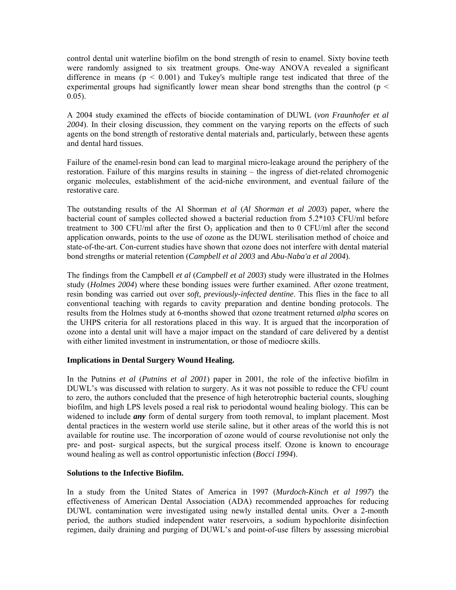control dental unit waterline biofilm on the bond strength of resin to enamel. Sixty bovine teeth were randomly assigned to six treatment groups. One-way ANOVA revealed a significant difference in means  $(p < 0.001)$  and Tukey's multiple range test indicated that three of the experimental groups had significantly lower mean shear bond strengths than the control ( $p <$ 0.05).

and dental hard tissues. A 2004 study examined the effects of biocide contamination of DUWL (*von Fraunhofer et al 2004*). In their closing discussion, they comment on the varying reports on the effects of such agents on the bond strength of restorative dental materials and, particularly, between these agents

Failure of the enamel-resin bond can lead to marginal micro-leakage around the periphery of the restoration. Failure of this margins results in staining – the ingress of diet-related chromogenic organic molecules, establishment of the acid-niche environment, and eventual failure of the restorative care.

application onwards, points to the use of ozone as the DUWL sterilisation method of choice and state-of-the-art. Con-current studies have shown that ozone does not interfere with dental material The outstanding results of the Al Shorman *et al* (*Al Shorman et al 2003*) paper, where the bacterial count of samples collected showed a bacterial reduction from 5.2\*103 CFU/ml before treatment to 300 CFU/ml after the first  $O_3$  application and then to 0 CFU/ml after the second bond strengths or material retention (*Campbell et al 2003* and *Abu-Naba'a et al 2004*).

conventional teaching with regards to cavity preparation and dentine bonding protocols. The results from the Holmes study at 6-months showed that ozone treatment returned *alpha* scores on The findings from the Campbell *et al* (*Campbell et al 2003*) study were illustrated in the Holmes study (*Holmes 2004*) where these bonding issues were further examined. After ozone treatment, resin bonding was carried out over *soft, previously-infected dentine*. This flies in the face to all the UHPS criteria for all restorations placed in this way. It is argued that the incorporation of ozone into a dental unit will have a major impact on the standard of care delivered by a dentist with either limited investment in instrumentation, or those of mediocre skills.

# **Implications in Dental Surgery Wound Healing.**

DUWL's was discussed with relation to surgery. As it was not possible to reduce the CFU count to zero, the authors concluded that the presence of high heterotrophic bacterial counts, sloughing biofilm, and high LPS levels posed a real risk to periodontal wound healing biology. This can be widened to include *any* form of dental surgery from tooth removal, to implant placement. Most In the Putnins *et al* (*Putnins et al 2001*) paper in 2001, the role of the infective biofilm in dental practices in the western world use sterile saline, but it other areas of the world this is not available for routine use. The incorporation of ozone would of course revolutionise not only the pre- and post- surgical aspects, but the surgical process itself. Ozone is known to encourage wound healing as well as control opportunistic infection (*Bocci 1994*).

# **Solutions to the Infective Biofilm.**

effectiveness of American Dental Association (ADA) recommended approaches for reducing UWL contamination were investigated using newly installed dental units. Over a 2-month D period, the authors studied independent water reservoirs, a sodium hypochlorite disinfection regimen, daily draining and purging of DUWL's and point-of-use filters by assessing microbial In a study from the United States of America in 1997 (*Murdoch-Kinch et al 1997*) the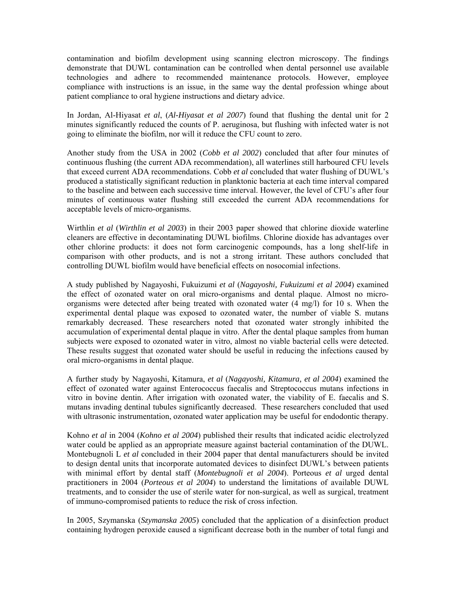contamination and biofilm development using scanning electron microscopy. The findings demonstrate that DUWL contamination can be controlled when dental personnel use available technologies and adhere to recommended maintenance protocols. However, employee compliance with instructions is an issue, in the same way the dental profession whinge about patient compliance to oral hygiene instructions and dietary advice.

In Jordan, Al-Hiyasat *et al*, (*Al-Hiyasat et al 2007*) found that flushing the dental unit for 2 minutes significantly reduced the counts of P. aeruginosa, but flushing with infected water is not going to eliminate the biofilm, nor will it reduce the CFU count to zero.

Another study from the USA in 2002 (*Cobb et al 2002*) concluded that after four minutes of produced a statistically significant reduction in planktonic bacteria at each time interval compared to the baseline and between each successive time interval. However, the level of CFU's after four continuous flushing (the current ADA recommendation), all waterlines still harboured CFU levels that exceed current ADA recommendations. Cobb *et al* concluded that water flushing of DUWL's minutes of continuous water flushing still exceeded the current ADA recommendations for acceptable levels of micro-organisms.

comparison with other products, and is not a strong irritant. These authors concluded that ontrolling DUWL biofilm would have beneficial effects on nosocomial infections. c Wirthlin *et al* (*Wirthlin et al 2003*) in their 2003 paper showed that chlorine dioxide waterline cleaners are effective in decontaminating DUWL biofilms. Chlorine dioxide has advantages over other chlorine products: it does not form carcinogenic compounds, has a long shelf-life in

experimental dental plaque was exposed to ozonated water, the number of viable S. mutans remarkably decreased. These researchers noted that ozonated water strongly inhibited the A study published by Nagayoshi, Fukuizumi *et al* (*Nagayoshi, Fukuizumi et al 2004*) examined the effect of ozonated water on oral micro-organisms and dental plaque. Almost no microorganisms were detected after being treated with ozonated water (4 mg/l) for 10 s. When the accumulation of experimental dental plaque in vitro. After the dental plaque samples from human subjects were exposed to ozonated water in vitro, almost no viable bacterial cells were detected. These results suggest that ozonated water should be useful in reducing the infections caused by oral micro-organisms in dental plaque.

mutans invading dentinal tubules significantly decreased. These researchers concluded that used with ultrasonic instrumentation, ozonated water application may be useful for endodontic therapy. A further study by Nagayoshi, Kitamura, *et al* (*Nagayoshi, Kitamura, et al 2004*) examined the effect of ozonated water against Enterococcus faecalis and Streptococcus mutans infections in vitro in bovine dentin. After irrigation with ozonated water, the viability of E. faecalis and S.

with minimal effort by dental staff (Montebugnoli et al 2004). Porteous et al urged dental Kohno *et al* in 2004 (*Kohno et al 2004*) published their results that indicated acidic electrolyzed water could be applied as an appropriate measure against bacterial contamination of the DUWL. Montebugnoli L *et al* concluded in their 2004 paper that dental manufacturers should be invited to design dental units that incorporate automated devices to disinfect DUWL's between patients practitioners in 2004 (*Porteous et al 2004*) to understand the limitations of available DUWL treatments, and to consider the use of sterile water for non-surgical, as well as surgical, treatment of immuno-compromised patients to reduce the risk of cross infection.

In 2005, Szymanska (*Szymanska 2005*) concluded that the application of a disinfection product containing hydrogen peroxide caused a significant decrease both in the number of total fungi and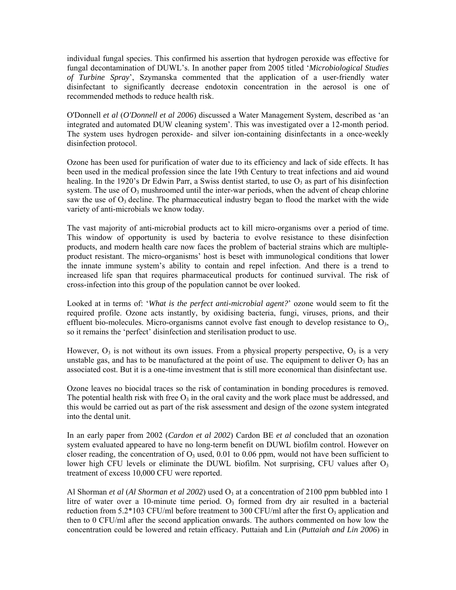individual fungal species. This confirmed his assertion that hydrogen peroxide was effective for fungal decontamination of DUWL's. In another paper from 2005 titled '*Microbiological Studies f Turbine Spray*', Szymanska commented that the application of a user-friendly water *o* disinfectant to significantly decrease endotoxin concentration in the aerosol is one of recommended methods to reduce health risk.

O'Donnell *et al* (*O'Donnell et al 2006*) discussed a Water Management System, described as 'an integrated and automated DUW cleaning system'. This was investigated over a 12-month period. The system uses hydrogen peroxide- and silver ion-containing disinfectants in a once-weekly disinfection protocol.

system. The use of  $O_3$  mushroomed until the inter-war periods, when the advent of cheap chlorine saw the use of  $O_3$  decline. The pharmaceutical industry began to flood the market with the wide Ozone has been used for purification of water due to its efficiency and lack of side effects. It has been used in the medical profession since the late 19th Century to treat infections and aid wound healing. In the 1920's Dr Edwin Parr, a Swiss dentist started, to use  $O_3$  as part of his disinfection variety of anti-microbials we know today.

product resistant. The micro-organisms' host is beset with immunological conditions that lower the innate immune system's ability to contain and repel infection. And there is a trend to The vast majority of anti-microbial products act to kill micro-organisms over a period of time. This window of opportunity is used by bacteria to evolve resistance to these disinfection products, and modern health care now faces the problem of bacterial strains which are multipleincreased life span that requires pharmaceutical products for continued survival. The risk of cross-infection into this group of the population cannot be over looked.

Looked at in terms of: '*What is the perfect anti-microbial agent?*' ozone would seem to fit the required profile. Ozone acts instantly, by oxidising bacteria, fungi, viruses, prions, and their effluent bio-molecules. Micro-organisms cannot evolve fast enough to develop resistance to  $O_3$ , so it remains the 'perfect' disinfection and sterilisation product to use.

However,  $O_3$  is not without its own issues. From a physical property perspective,  $O_3$  is a very unstable gas, and has to be manufactured at the point of use. The equipment to deliver  $O_3$  has an associated cost. But it is a one-time investment that is still more economical than disinfectant use.

Ozone leaves no biocidal traces so the risk of contamination in bonding procedures is removed. The potential health risk with free  $O_3$  in the oral cavity and the work place must be addressed, and this would be carried out as part of the risk assessment and design of the ozone system integrated into the dental unit.

lower high CFU levels or eliminate the DUWL biofilm. Not surprising, CFU values after  $O<sub>3</sub>$ treatment of excess 10,000 CFU were reported. In an early paper from 2002 (*Cardon et al 2002*) Cardon BE *et al* concluded that an ozonation system evaluated appeared to have no long-term benefit on DUWL biofilm control. However on closer reading, the concentration of  $O_3$  used, 0.01 to 0.06 ppm, would not have been sufficient to

then to 0 CFU/ml after the second application onwards. The authors commented on how low the concentration could be lowered and retain efficacy. Puttaiah and Lin (*Puttaiah and Lin 2006*) in Al Shorman *et al (Al Shorman et al 2002*) used  $O_3$  at a concentration of 2100 ppm bubbled into 1 litre of water over a 10-minute time period.  $O_3$  formed from dry air resulted in a bacterial reduction from 5.2\*103 CFU/ml before treatment to 300 CFU/ml after the first  $O_3$  application and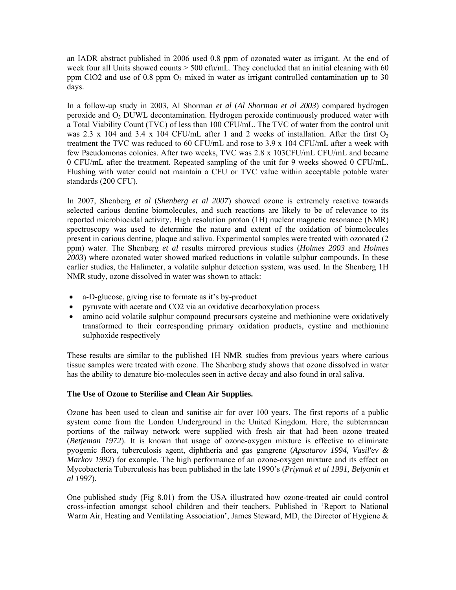an IADR abstract published in 2006 used 0.8 ppm of ozonated water as irrigant. At the end of week four all Units showed counts  $> 500$  cfu/mL. They concluded that an initial cleaning with 60 ppm ClO2 and use of 0.8 ppm  $O_3$  mixed in water as irrigant controlled contamination up to 30 days.

In a follow-up study in 2003, Al Shorman *et al* (*Al Shorman et al 2003*) compared hydrogen peroxide and  $O_3$  DUWL decontamination. Hydrogen peroxide continuously produced water with a Total Viability Count (TVC) of less than 100 CFU/mL. The TVC of water from the control unit was 2.3 x 104 and 3.4 x 104 CFU/mL after 1 and 2 weeks of installation. After the first  $O_3$ treatment the TVC was reduced to 60 CFU/mL and rose to 3.9 x 104 CFU/mL after a week with few Pseudomonas colonies. After two weeks, TVC was 2.8 x 103CFU/mL CFU/mL and became 0 CFU/mL after the treatment. Repeated sampling of the unit for 9 weeks showed 0 CFU/mL. Flushing with water could not maintain a CFU or TVC value within acceptable potable water standards (200 CFU).

spectroscopy was used to determine the nature and extent of the oxidation of biomolecules present in carious dentine, plaque and saliva. Experimental samples were treated with ozonated (2 In 2007, Shenberg *et al* (*Shenberg et al 2007*) showed ozone is extremely reactive towards selected carious dentine biomolecules, and such reactions are likely to be of relevance to its reported microbiocidal activity. High resolution proton (1H) nuclear magnetic resonance (NMR) ppm) water. The Shenberg *et al* results mirrored previous studies (*Holmes 2003* and *Holmes 2003*) where ozonated water showed marked reductions in volatile sulphur compounds. In these earlier studies, the Halimeter, a volatile sulphur detection system, was used. In the Shenberg 1H NMR study, ozone dissolved in water was shown to attack:

- a-D-glucose, giving rise to formate as it's by-product
- pyruvate with acetate and CO2 via an oxidative decarboxylation process
- transformed to their corresponding primary oxidation products, cystine and methionine sulphoxide respectively • amino acid volatile sulphur compound precursors cysteine and methionine were oxidatively

These results are similar to the published 1H NMR studies from previous years where carious tissue samples were treated with ozone. The Shenberg study shows that ozone dissolved in water has the ability to denature bio-molecules seen in active decay and also found in oral saliva.

# **The Use of Ozone to Sterilise and Clean Air Supplies.**

system come from the London Underground in the United Kingdom. Here, the subterranean portions of the railway network were supplied with fresh air that had been ozone treated (Betjeman 1972). It is known that usage of ozone-oxygen mixture is effective to eliminate pyogenic flora, tuberculosis agent, diphtheria and gas gangrene (*Apsatarov 1994, Vasil'ev &*  Ozone has been used to clean and sanitise air for over 100 years. The first reports of a public *Markov 1992*) for example. The high performance of an ozone-oxygen mixture and its effect on Mycobacteria Tuberculosis has been published in the late 1990's (*Priymak et al 1991, Belyanin et al 1997*).

One published study (Fig 8.01) from the USA illustrated how ozone-treated air could control cross-infection amongst school children and their teachers. Published in 'Report to National Warm Air, Heating and Ventilating Association', James Steward, MD, the Director of Hygiene &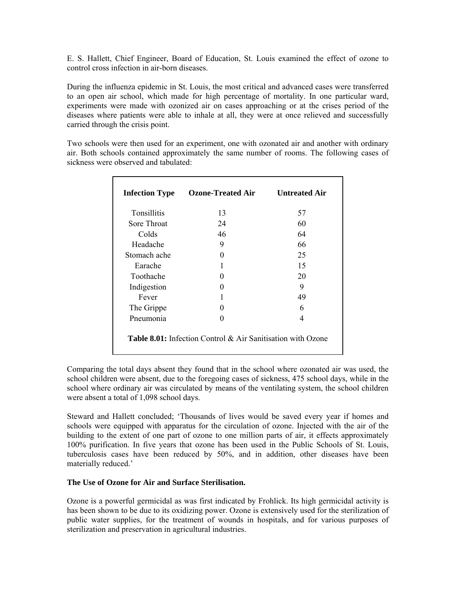E. S. Hallett, Chief Engineer, Board of Education, St. Louis examined the effect of ozone to control cross infection in air-born diseases.

experiments were made with ozonized air on cases approaching or at the crises period of the diseases where patients were able to inhale at all, they were at once relieved and successfully During the influenza epidemic in St. Louis, the most critical and advanced cases were transferred to an open air school, which made for high percentage of mortality. In one particular ward, carried through the crisis point.

sickness were observed and tabulated: Two schools were then used for an experiment, one with ozonated air and another with ordinary air. Both schools contained approximately the same number of rooms. The following cases of

| <b>Infection Type</b> | <b>Ozone-Treated Air</b> | <b>Untreated Air</b> |
|-----------------------|--------------------------|----------------------|
| <b>Tonsillitis</b>    | 13                       | 57                   |
| Sore Throat           | 24                       | 60                   |
| Colds                 | 46                       | 64                   |
| Headache              | 9                        | 66                   |
| Stomach ache          | 0                        | 25                   |
| Earache               |                          | 15                   |
| Toothache             | $\Omega$                 | 20                   |
| Indigestion           | $\Omega$                 | 9                    |
| Fever                 | 1                        | 49                   |
| The Grippe            | $\mathbf{\Omega}$        | 6                    |
| Pneumonia             | $\Omega$                 | 4                    |

Comparing the total days absent they found that in the school where ozonated air was used, the school children were absent, due to the foregoing cases of sickness, 475 school days, while in the school where ordinary air was circulated by means of the ventilating system, the school children were absent a total of 1,098 school days.

building to the extent of one part of ozone to one million parts of air, it effects approximately 100% purification. In five years that ozone has been used in the Public Schools of St. Louis, Steward and Hallett concluded; 'Thousands of lives would be saved every year if homes and schools were equipped with apparatus for the circulation of ozone. Injected with the air of the tuberculosis cases have been reduced by 50%, and in addition, other diseases have been materially reduced.'

#### **The Use of Ozone for Air and Surface Sterilisation.**

Ozone is a powerful germicidal as was first indicated by Frohlick. Its high germicidal activity is has been shown to be due to its oxidizing power. Ozone is extensively used for the sterilization of public water supplies, for the treatment of wounds in hospitals, and for various purposes of sterilization and preservation in agricultural industries.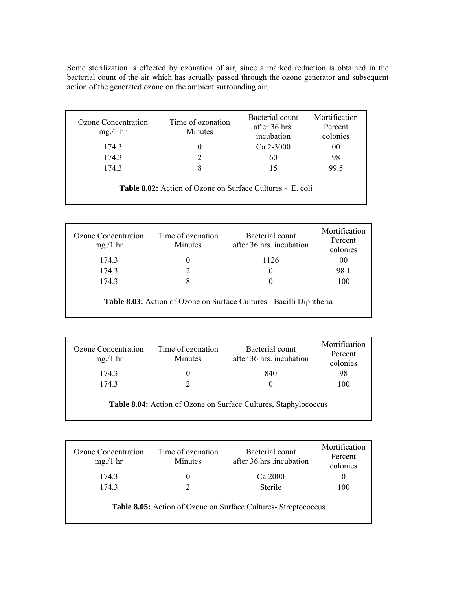Some sterilization is effected by ozonation of air, since a marked reduction is obtained in the bacterial count of the air which has actually passed through the ozone generator and subsequent action of the generated ozone on the ambient surrounding air.

| Ozone Concentration<br>mg/1 hr                                   | Time of ozonation<br>Minutes | Bacterial count<br>after 36 hrs.<br>incubation | Mortification<br>Percent<br>colonies |  |
|------------------------------------------------------------------|------------------------------|------------------------------------------------|--------------------------------------|--|
| 174.3                                                            | 0                            | $Ca$ 2-3000                                    | 00                                   |  |
| 174.3                                                            | 2                            | 60                                             | 98                                   |  |
| 174.3                                                            | 8                            | 15                                             | 99.5                                 |  |
| <b>Table 8.02:</b> Action of Ozone on Surface Cultures - E. coli |                              |                                                |                                      |  |

| Ozone Concentration<br>mg/1 hr                                              | Time of ozonation<br>Minutes | Bacterial count<br>after 36 hrs. incubation | Mortification<br>Percent<br>colonies |  |
|-----------------------------------------------------------------------------|------------------------------|---------------------------------------------|--------------------------------------|--|
| 174.3                                                                       | 0                            | 1126                                        | 00                                   |  |
| 174.3                                                                       |                              | 0                                           | 98.1                                 |  |
| 174.3                                                                       | 8                            | $\theta$                                    | 100                                  |  |
| <b>Table 8.03:</b> Action of Ozone on Surface Cultures - Bacilli Diphtheria |                              |                                             |                                      |  |

| Ozone Concentration<br>mg/1 hr                                  | Time of ozonation<br>Minutes | Bacterial count<br>after 36 hrs. incubation | Mortification<br>Percent<br>colonies |  |
|-----------------------------------------------------------------|------------------------------|---------------------------------------------|--------------------------------------|--|
| 174.3                                                           | $_{0}$                       | 840                                         | 98                                   |  |
| 174.3                                                           |                              | $\theta$                                    | 100                                  |  |
| Table 8.04: Action of Ozone on Surface Cultures, Staphylococcus |                              |                                             |                                      |  |

| Ozone Concentration<br>mg/1 hr                                        | Time of ozonation<br><b>Minutes</b> | Bacterial count<br>after 36 hrs .incubation | Mortification<br>Percent<br>colonies |  |
|-----------------------------------------------------------------------|-------------------------------------|---------------------------------------------|--------------------------------------|--|
| 174.3                                                                 | 0                                   | Ca 2000                                     | $\theta$                             |  |
| 174.3                                                                 | 2                                   | <b>Sterile</b>                              | 100                                  |  |
| <b>Table 8.05:</b> Action of Ozone on Surface Cultures- Streptococcus |                                     |                                             |                                      |  |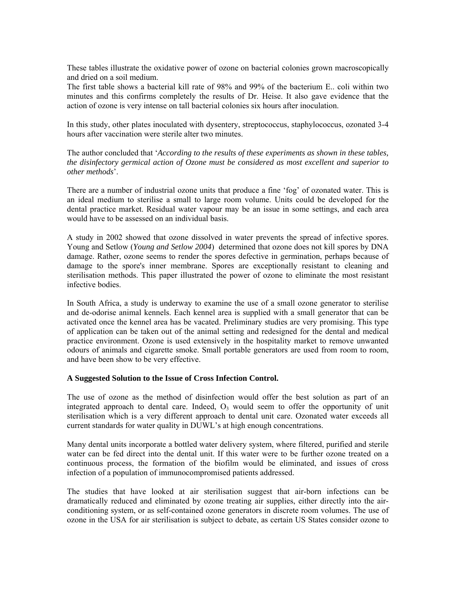These tables illustrate the oxidative power of ozone on bacterial colonies grown macroscopically and dried on a soil medium.

The first table shows a bacterial kill rate of 98% and 99% of the bacterium E. coli within two minutes and this confirms completely the results of Dr. Heise. It also gave evidence that the action of ozone is very intense on tall bacterial colonies six hours after inoculation.

In this study, other plates inoculated with dysentery, streptococcus, staphylococcus, ozonated 3-4 hours after vaccination were sterile alter two minutes.

The author concluded that '*According to the results of these experiments as shown in these tables*, *the disinfectory germical action of Ozone must be considered as most excellent and superior to other methods*'.

would have to be assessed on an individual basis. There are a number of industrial ozone units that produce a fine 'fog' of ozonated water. This is an ideal medium to sterilise a small to large room volume. Units could be developed for the dental practice market. Residual water vapour may be an issue in some settings, and each area

damage to the spore's inner membrane. Spores are exceptionally resistant to cleaning and A study in 2002 showed that ozone dissolved in water prevents the spread of infective spores. Young and Setlow (*Young and Setlow 2004*) determined that ozone does not kill spores by DNA damage. Rather, ozone seems to render the spores defective in germination, perhaps because of sterilisation methods. This paper illustrated the power of ozone to eliminate the most resistant infective bodies.

of application can be taken out of the animal setting and redesigned for the dental and medical In South Africa, a study is underway to examine the use of a small ozone generator to sterilise and de-odorise animal kennels. Each kennel area is supplied with a small generator that can be activated once the kennel area has be vacated. Preliminary studies are very promising. This type practice environment. Ozone is used extensively in the hospitality market to remove unwanted odours of animals and cigarette smoke. Small portable generators are used from room to room, and have been show to be very effective.

#### **A Suggested Solution to the Issue of Cross Infection Control.**

integrated approach to dental care. Indeed,  $O<sub>3</sub>$  would seem to offer the opportunity of unit sterilisation which is a very different approach to dental unit care. Ozonated water exceeds all current standards for water quality in DUWL's at high enough concentrations. The use of ozone as the method of disinfection would offer the best solution as part of an

Many dental units incorporate a bottled water delivery system, where filtered, purified and sterile water can be fed direct into the dental unit. If this water were to be further ozone treated on a continuous process, the formation of the biofilm would be eliminated, and issues of cross infection of a population of immunocompromised patients addressed.

ozone in the USA for air sterilisation is subject to debate, as certain US States consider ozone to The studies that have looked at air sterilisation suggest that air-born infections can be dramatically reduced and eliminated by ozone treating air supplies, either directly into the airconditioning system, or as self-contained ozone generators in discrete room volumes. The use of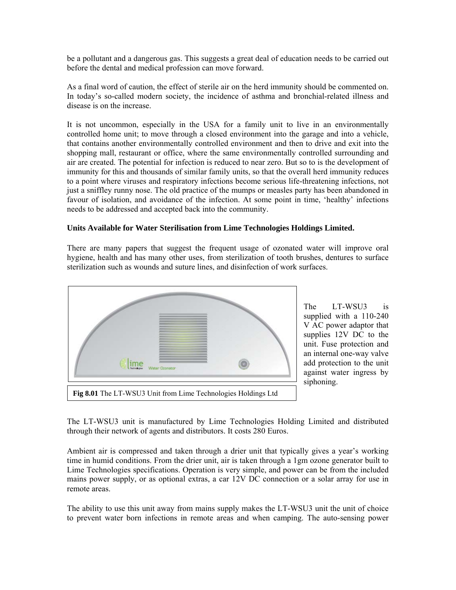be a pollutant and a dangerous gas. This suggests a great deal of education needs to be carried out before the dental and medical profession can move forward.

As a final word of caution, the effect of sterile air on the herd immunity should be commented on. In today's so-called modern society, the incidence of asthma and bronchial-related illness and disease is on the increase.

It is not uncommon, especially in the USA for a family unit to live in an environmentally controlled home unit; to move through a closed environment into the garage and into a vehicle, that contains another environmentally controlled environment and then to drive and exit into the shopping mall, restaurant or office, where the same environmentally controlled surrounding and air are created. The potential for infection is reduced to near zero. But so to is the development of immunity for this and thousands of similar family units, so that the overall herd immunity reduces to a point where viruses and respiratory infections become serious life-threatening infections, not just a sniffley runny nose. The old practice of the mumps or measles party has been abandoned in favour of isolation, and avoidance of the infection. At some point in time, 'healthy' infections needs to be addressed and accepted back into the community.

### **Units Available for Water Sterilisation from Lime Technologies Holdings Limited.**

There are many papers that suggest the frequent usage of ozonated water will improve oral hygiene, health and has many other uses, from sterilization of tooth brushes, dentures to surface sterilization such as wounds and suture lines, and disinfection of work surfaces.



T-WSU3 is supplied with a 110-240 V AC power adaptor that supplies 12V DC to the The unit. Fuse protection and an internal one-way valve add protection to the unit against water ingress by siphoning.

The LT-WSU3 unit is manufactured by Lime Technologies Holding Limited and distributed through their network of agents and distributors. It costs 280 Euros.

Ambient air is compressed and taken through a drier unit that typically gives a year's working Lime Technologies specifications. Operation is very simple, and power can be from the included mains power supply, or as optional extras, a car 12V DC connection or a solar array for use in time in humid conditions. From the drier unit, air is taken through a 1gm ozone generator built to remote areas.

The ability to use this unit away from mains supply makes the LT-WSU3 unit the unit of choice to prevent water born infections in remote areas and when camping. The auto-sensing power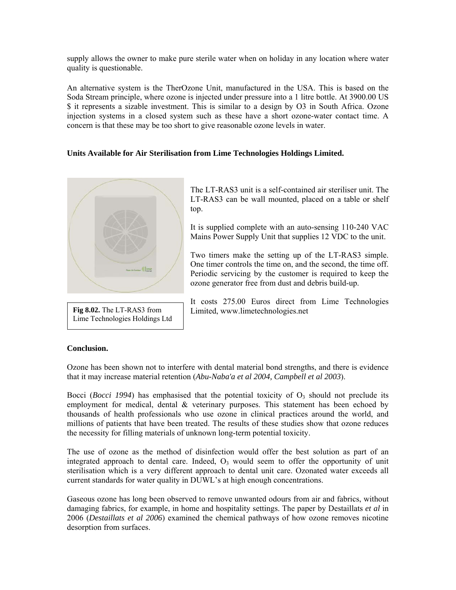supply allows the owner to make pure sterile water when on holiday in any location where water quality is questionable.

An alternative system is the TherOzone Unit, manufactured in the USA. This is based on the Soda Stream principle, where ozone is injected under pressure into a 1 litre bottle. At 3900.00 US \$ it represents a sizable investment. This is similar to a design by O3 in South Africa. Ozone injection systems in a closed system such as these have a short ozone-water contact time. A concern is that these may be too short to give reasonable ozone levels in water.

# Units Available for Air Sterilisation from Lime Technologies Holdings Limited.



**Fig 8.02.** The LT-RAS3 from Lime Technologies Holdings Ltd

The LT-RAS3 unit is a self-contained air steriliser unit. The LT-RAS3 can be wall mounted, placed on a table or shelf top.

It is supplied complete with an auto-sensing 110-240 VAC Mains Power Supply Unit that supplies 12 VDC to the unit.

One timer controls the time on, and the second, the time off. Two timers make the setting up of the LT-RAS3 simple. Periodic servicing by the customer is required to keep the ozone generator free from dust and debris build-up.

It costs 275.00 Euros direct from Lime Technologies Limited, www.limetechnologies.net

#### **Conclusion.**

Ozone has been shown not to interfere with dental material bond strengths, and there is evidence that it may increase material retention (Abu-Naba'a et al 2004, Campbell et al 2003).

Bocci (*Bocci 1994*) has emphasised that the potential toxicity of O<sub>3</sub> should not preclude its employment for medical, dental & veterinary purposes. This statement has been echoed by thousands of health professionals who use ozone in clinical practices around the world, and millions of patients that have been treated. The results of these studies show that ozone reduces the necessity for filling materials of unknown long-term potential toxicity.

The use of ozone as the method of disinfection would offer the best solution as part of an integrated approach to dental care. Indeed,  $O<sub>3</sub>$  would seem to offer the opportunity of unit sterilisation which is a very different approach to dental unit care. Ozonated water exceeds all current standards for water quality in DUWL's at high enough concentrations.

Gaseous ozone has long been observed to remove unwanted odours from air and fabrics, without damaging fabrics, for example, in home and hospitality settings. The paper by Destaillats et al in 2006 (*Destaillats et al 2006*) examined the chemical pathways of how ozone removes nicotine desorption from surfaces.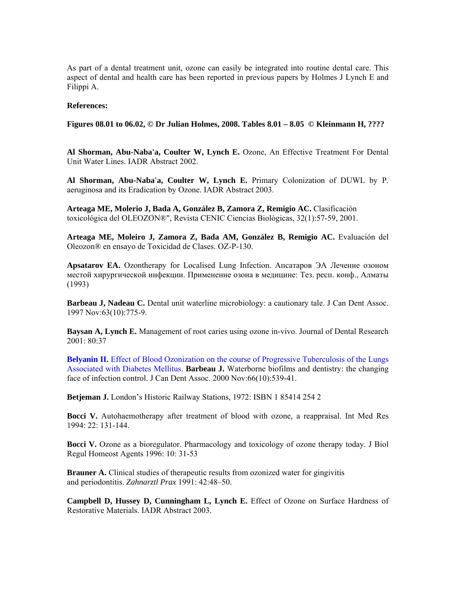As part of a dental treatment unit, ozone can easily be integrated into routine dental care. This aspect of dental and health care has been reported in previous papers by Holmes J Lynch E and Filippi A.

#### **: References**

 **to 06.02, © Dr Julian Holmes, 2008. Tables 8.01 – 8.05 © Kleinmann H, ???? Figures 08.01**

Al Shorman, Abu-Naba'a, Coulter W, Lynch E. Ozone, An Effective Treatment For Dental Unit Water Lines. IADR Abstract 2002.

Al Shorman, Abu-Naba'a, Coulter W, Lynch E. Primary Colonization of DUWL by P. aeruginosa and its Eradication by Ozone. IADR Abstract 2003.

**igio AC.** Clasificación **Arteaga ME, Molerio J, Bada A, González B, Zamora Z, Rem** toxicológica del OLEOZON®", Revista CENIC Ciencias Biológicas, 32(1):57-59, 2001.

Arteaga ME, Moleiro J, Zamora Z, Bada AM, González B, Remigio AC. Evaluación del Oleozon® en ensayo de Toxicidad de Clases. OZ-P-130.

Apsatarov EA. Ozontherapy for Localised Lung Infection. Апсатаров ЭА Лечение озоном местой хирургической инфекции. Применение озона в медицине: Тез. респ. конф., Алматы (1993)

Barbeau J, Nadeau C. Dental unit waterline microbiology: a cautionary tale. J Can Dent Assoc. 1997 Nov:63(10):775-9.

Baysan A, Lynch E. Management of root caries using ozone in-vivo. Journal of Dental Research 2001: 80:37

Belyanin II. Effect of Blood Ozonization on the course of Progressive Tuberculosis of the Lungs Associated with Diabetes Mellitus. Barbeau J. Waterborne biofilms and dentistry: the changing face of infection control. J Can Dent Assoc. 2000 Nov:66(10):539-41.

Betjeman J. London's Historic Railway Stations, 1972: ISBN 1 85414 254 2

Bocci V. Autohaemotherapy after treatment of blood with ozone, a reappraisal. Int Med Res 994: 22: 131-144. 1

Bocci V. Ozone as a bioregulator. Pharmacology and toxicology of ozone therapy today. J Biol Regul Homeost Agents 1996: 10: 31-53

Brauner A. Clinical studies of therapeutic results from ozonized water for gingivitis and periodontitis. Zahnarztl Prax 1991: 42:48-50.

**Campbell D, Hussey D, Cunningham L, Lynch E.** Effect of Ozone on Surface Hardness of Restorative Materials. IADR Abstract 2003.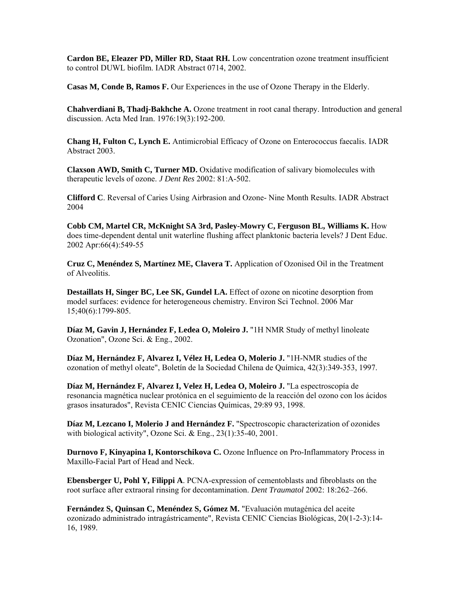**Cardon BE, Eleazer PD, Miller RD, Staat RH.** Low concentration ozone treatment insufficient to control DUWL biofilm. IADR Abstract 0714, 2002.

Casas M, Conde B, Ramos F. Our Experiences in the use of Ozone Therapy in the Elderly.

Chahverdiani B, Thadj-Bakhche A. Ozone treatment in root canal therapy. Introduction and general discussion. Acta Med Iran. 1976:19(3):192-200.

**hang H, Fulton C, Lynch E.** Antimicrobial Efficacy of Ozone on Enterococcus faecalis. IADR **C** Abstract 2003.

**laxson AWD, Smith C, Turner MD.** Oxidative modification of salivary biomolecules with **C** therapeutic levels of ozone. *J Dent Res* 2002: 81:A-502.

**lifford C**. Reversal of Caries Using Airbrasion and Ozone- Nine Month Results. IADR Abstract **C** 2004

Cobb CM, Martel CR, McKnight SA 3rd, Pasley-Mowry C, Ferguson BL, Williams K. How does time-dependent dental unit waterline flushing affect planktonic bacteria levels? J Dent Educ. 2002 Apr:66(4):549-55

**ruz C, Menéndez S, Martínez ME, Clavera T.** Application of Ozonised Oil in the Treatment **C** of Alveolitis.

Destaillats H, Singer BC, Lee SK, Gundel LA. Effect of ozone on nicotine desorption from model surfaces: evidence for heterogeneous chemistry. Environ Sci Technol. 2006 Mar 15;40(6):1799-805.

Díaz M, Gavin J, Hernández F, Ledea O, Moleiro J. "1H NMR Study of methyl linoleate Ozonation", Ozone Sci. & Eng., 2002.

Díaz M, Hernández F, Alvarez I, Vélez H, Ledea O, Molerio J. "1H-NMR studies of the ozonation of methyl oleate", Boletín de la Sociedad Chilena de Química, 42(3):349-353, 1997.

Díaz M, Hernández F, Alvarez I, Velez H, Ledea O, Moleiro J. "La espectroscopía de resonancia magnética nuclear protónica en el seguimiento de la reacción del ozono con los ácidos grasos insaturados", Revista CENIC Ciencias Químicas, 29:89 93, 1998.

Díaz M, Lezcano I, Molerio J and Hernández F. "Spectroscopic characterization of ozonides with biological activity", Ozone Sci. & Eng., 23(1):35-40, 2001.

**Durnovo F, Kinyapina I, Kontorschikova C.** Ozone Influence on Pro-Inflammatory Process in Maxillo-Facial Part of Head and Neck.

Ebensberger U, Pohl Y, Filippi A. PCNA-expression of cementoblasts and fibroblasts on the root surface after extraoral rinsing for decontamination. *Dent Traumatol* 2002: 18:262–266.

**ernández S, Quinsan C, Menéndez S, Gómez M.** "Evaluación mutagénica del aceite **F**ozonizado administrado intragástricamente", Revista CENIC Ciencias Biológicas, 20(1-2-3):14- 16, 1989.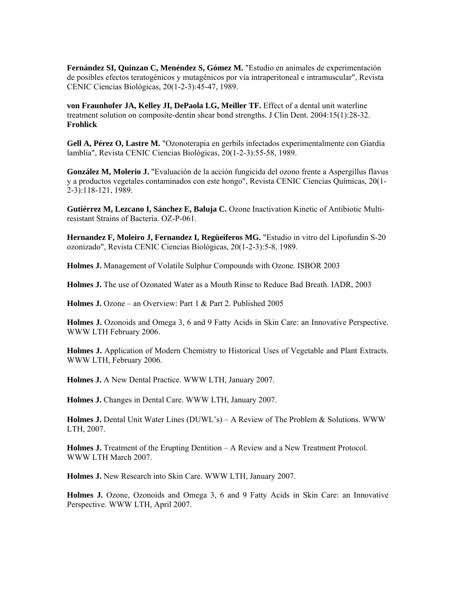**Fernández SI, Quinzan C, Menéndez S, Gómez M.** "Estudio en animales de experimentación de posibles efectos teratogénicos y mutagénicos por vía intraperitoneal e intramuscular", Revista ENIC Ciencias Biológicas, 20(1-2-3):45-47, 1989. C

treatment solution on composite-dentin shear bond strengths. J Clin Dent. 2004:15(1):28-32. **rohlick F von Fraunhofer JA, Kelley JI, DePaola LG, Meiller TF.** Effect of a dental unit waterline

Gell A, Pérez O, Lastre M. "Ozonoterapia en gerbils infectados experimentalmente con Giardia lamblia", Revista CENIC Ciencias Biológicas, 20(1-2-3):55-58, 1989.

y a productos vegetales contaminados con este hongo", Revista CENIC Ciencias Químicas, 20(1--3):118-121, 1989. 2 **González M, Molerio J.** "Evaluación de la acción fungicida del ozono frente a Aspergillus flavus

resistant Strains of Bacteria. OZ-P-061. **Gutiérrez M, Lezcano I, Sánchez E, Baluja C.** Ozone Inactivation Kinetic of Antibiotic Multi-

ozonizado", Revista CENIC Ciencias Biológicas, 20(1-2-3):5-8, 1989. **Hernandez F, Moleiro J, Fernandez I, Regüeiferos MG.** "Estudio in vitro del Lipofundin S-20

**Holmes J.** Management of Volatile Sulphur Compounds with Ozone. ISBOR 2003

Holmes J. The use of Ozonated Water as a Mouth Rinse to Reduce Bad Breath. IADR, 2003

Holmes J. Ozone – an Overview: Part 1 & Part 2. Published 2005

Holmes J. Ozonoids and Omega 3, 6 and 9 Fatty Acids in Skin Care: an Innovative Perspective. WWW LTH February 2006.

**Holmes J.** Application of Modern Chemistry to Historical Uses of Vegetable and Plant Extracts. WWW LTH, February 2006.

**Holmes J.** A New Dental Practice. WWW LTH, January 2007.

**Holmes J.** Changes in Dental Care. WWW LTH, January 2007.

**Holmes J.** Dental Unit Water Lines (DUWL's) – A Review of The Problem & Solutions. WWW LTH, 2007.

WWW LTH March 2007. **Holmes J.** Treatment of the Erupting Dentition – A Review and a New Treatment Protocol.

**Holmes J.** New Research into Skin Care. WWW LTH, January 2007.

Holmes J. Ozone, Ozonoids and Omega 3, 6 and 9 Fatty Acids in Skin Care: an Innovative Perspective. WWW LTH, April 2007.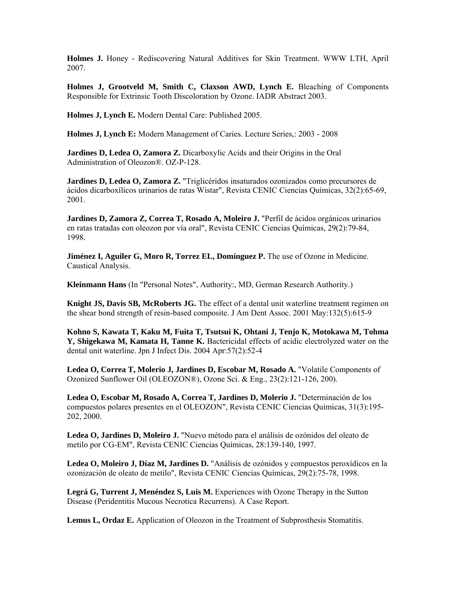**Holmes J.** Honey - Rediscovering Natural Additives for Skin Treatment. WWW LTH, April 2007.

**Holmes J, Grootveld M, Smith C, Claxson AWD, Lynch E.** Bleaching of Components Responsible for Extrinsic Tooth Discoloration by Ozone. IADR Abstract 2003.

**Holmes J, Lynch E.** Modern Dental Care: Published 2005.

Holmes J, Lynch E: Modern Management of Caries. Lecture Series,: 2003 - 2008

**ardines D, Ledea O, Zamora Z.** Dicarboxylic Acids and their Origins in the Oral **J** Administration of Oleozon®. OZ-P-128.

Jardines D, Ledea O, Zamora Z. "Triglicéridos insaturados ozonizados como precursores de ácidos dicarboxílicos urinarios de ratas Wistar", Revista CENIC Ciencias Químicas, 32(2):65-69, 2001.

en ratas tratadas con oleozon por vía oral", Revista CENIC Ciencias Químicas, 29(2):79-84, 1998. **Jardines D, Zamora Z, Correa T, Rosado A, Moleiro J.** "Perfil de ácidos orgánicos urinarios

Caustical Analysis. **Jiménez I, Aguiler G, Moro R, Torrez EL, Domínguez P.** The use of Ozone in Medicine.

**Kleinmann Hans** (In "Personal Notes", Authority:, MD, German Research Authority.)

**night JS, Davis SB, McRoberts JG.** The effect of a dental unit waterline treatment regimen on **K** the shear bond strength of resin-based composite. J Am Dent Assoc. 2001 May:132(5):615-9

dental unit waterline. Jpn J Infect Dis. 2004 Apr:57(2):52-4 **Kohno S, Kawata T, Kaku M, Fuita T, Tsutsui K, Ohtani J, Tenjo K, Motokawa M, Tohma Y, Shigekawa M, Kamata H, Tanne K.** Bactericidal effects of acidic electrolyzed water on the

Ozonized Sunflower Oil (OLEOZON®), Ozone Sci. & Eng., 23(2):121-126, 200). **Ledea O, Correa T, Molerio J, Jardines D, Escobar M, Rosado A.** "Volatile Components of

compuestos polares presentes en el OLEOZON", Revista CENIC Ciencias Químicas, 31(3):195-202, 2000. **Ledea O, Escobar M, Rosado A, Correa T, Jardines D, Molerio J.** "Determinación de los

metilo por CG-EM", Revista CENIC Ciencias Químicas, 28:139-140, 1997. **Ledea O, Jardines D, Moleiro J.** "Nuevo método para el análisis de ozónidos del oleato de

Ledea O, Moleiro J, Díaz M, Jardines D. "Análisis de ozónidos y compuestos peroxídicos en la ozonización de oleato de metilo", Revista CENIC Ciencias Químicas, 29(2):75-78, 1998.

Legrá G, Turrent J, Menéndez S, Luis M. Experiences with Ozone Therapy in the Sutton Disease (Peridentitis Mucous Necrotica Recurrens). A Case Report.

**Lemus L, Ordaz E.** Application of Oleozon in the Treatment of Subprosthesis Stomatitis.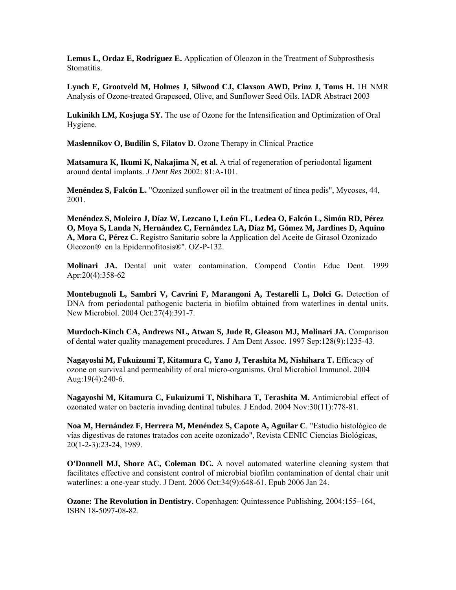**Lemus L, Ordaz E, Rodríguez E.** Application of Oleozon in the Treatment of Subprosthesis Stomatitis.

Lynch E, Grootveld M, Holmes J, Silwood CJ, Claxson AWD, Prinz J, Toms H. 1H NMR Analysis of Ozone-treated Grapeseed, Olive, and Sunflower Seed Oils. IADR Abstract 2003

**Lukinikh LM, Kosjuga SY.** The use of Ozone for the Intensification and Optimization of Oral Hygiene.

**Maslennikov O, Budilin S, Filatov D.** Ozone Therapy in Clinical Practice

Matsamura K, Ikumi K, Nakajima N, et al. A trial of regeneration of periodontal ligament around dental implants. *J Dent Res* 2002: 81:A-101.

Menéndez S, Falcón L. "Ozonized sunflower oil in the treatment of tinea pedis", Mycoses, 44, 2001.

O, Moya S, Landa N, Hernández C, Fernández LA, Díaz M, Gómez M, Jardines D, Aquino **, Mora C, Pérez C.** Registro Sanitario sobre la Application del Aceite de Girasol Ozonizado **A Menéndez S, Moleiro J, Díaz W, Lezcano I, León FL, Ledea O, Falcón L, Simón RD, Pérez** Oleozon® en la Epidermofitosis®". OZ-P-132.

Molinari JA. Dental unit water contamination. Compend Contin Educ Dent. 1999 Apr:20(4):358-62

DNA from periodontal pathogenic bacteria in biofilm obtained from waterlines in dental units. New Microbiol. 2004 Oct:27(4):391-7. **Montebugnoli L, Sambri V, Cavrini F, Marangoni A, Testarelli L, Dolci G.** Detection of

of dental water quality management procedures. J Am Dent Assoc. 1997 Sep:128(9):1235-43. **Murdoch-Kinch CA, Andrews NL, Atwan S, Jude R, Gleason MJ, Molinari JA.** Comparison

Aug: $19(4)$ :240-6. **Nagayoshi M, Fukuizumi T, Kitamura C, Yano J, Terashita M, Nishihara T.** Efficacy of ozone on survival and permeability of oral micro-organisms. Oral Microbiol Immunol. 2004

Nagayoshi M, Kitamura C, Fukuizumi T, Nishihara T, Terashita M. Antimicrobial effect of ozonated water on bacteria invading dentinal tubules. J Endod. 2004 Nov:30(11):778-81.

vías digestivas de ratones tratados con aceite ozonizado", Revista CENIC Ciencias Biológicas, 0(1-2-3):23-24, 1989. 2 **Noa M, Hernández F, Herrera M, Menéndez S, Capote A, Aguilar C**. "Estudio histológico de

**O'Donnell MJ, Shore AC, Coleman DC.** A novel automated waterline cleaning system that facilitates effective and consistent control of microbial biofilm contamination of dental chair unit waterlines: a one-year study. J Dent. 2006 Oct:34(9):648-61. Epub 2006 Jan 24.

**Ozone: The Revolution in Dentistry.** Copenhagen: Quintessence Publishing, 2004:155–164, ISBN 18-5097-08-82.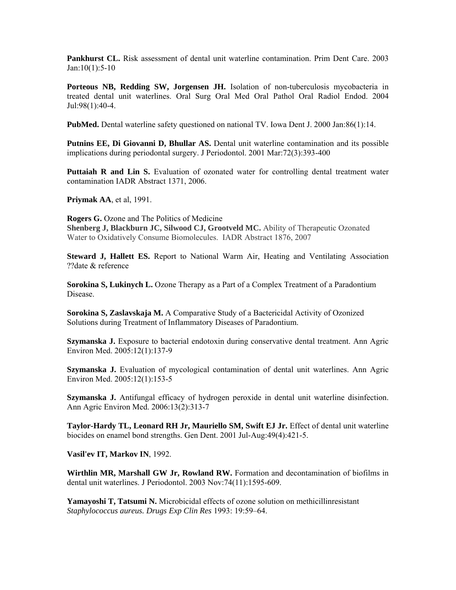Pankhurst CL. Risk assessment of dental unit waterline contamination. Prim Dent Care. 2003 Jan:10(1):5-10

treated dental unit waterlines. Oral Surg Oral Med Oral Pathol Oral Radiol Endod. 2004 Jul:98(1):40-4. **Porteous NB, Redding SW, Jorgensen JH.** Isolation of non-tuberculosis mycobacteria in

**PubMed.** Dental waterline safety questioned on national TV. Iowa Dent J. 2000 Jan:86(1):14.

Putnins EE, Di Giovanni D, Bhullar AS. Dental unit waterline contamination and its possible implications during periodontal surgery. J Periodontol. 2001 Mar:72(3):393-400

Puttaiah R and Lin S. Evaluation of ozonated water for controlling dental treatment water contamination IADR Abstract 1371, 2006.

**Priymak AA**, et al, 1991.

**ogers G.** Ozone and The Politics of Medicine **R** Shenberg J, Blackburn JC, Silwood CJ, Grootveld MC. Ability of Therapeutic Ozonated Water to Oxidatively Consume Biomolecules. IADR Abstract 1876, 2007

Steward J, Hallett ES. Report to National Warm Air, Heating and Ventilating Association ??date & reference

**Sorokina S, Lukinych L.** Ozone Therapy as a Part of a Complex Treatment of a Paradontium Disease.

Solutions during Treatment of Inflammatory Diseases of Paradontium. **Sorokina S, Zaslavskaja M.** A Comparative Study of a Bactericidal Activity of Ozonized

Szymanska J. Exposure to bacterial endotoxin during conservative dental treatment. Ann Agric Environ Med. 2005:12(1):137-9

**Szymanska J.** Evaluation of mycological contamination of dental unit waterlines. Ann Agric Environ Med. 2005:12(1):153-5

Ann Agric Environ Med. 2006:13(2):313-7 **Szymanska J.** Antifungal efficacy of hydrogen peroxide in dental unit waterline disinfection.

biocides on enamel bond strengths. Gen Dent. 2001 Jul-Aug:49(4):421-5. **Taylor-Hardy TL, Leonard RH Jr, Mauriello SM, Swift EJ Jr.** Effect of dental unit waterline

**Vasil'ev IT, Markov IN**, 1992.

Wirthlin MR, Marshall GW Jr, Rowland RW. Formation and decontamination of biofilms in dental unit waterlines. J Periodontol. 2003 Nov:74(11):1595-609.

**Yamayoshi T, Tatsumi N.** Microbicidal effects of ozone solution on methicillinresistant *Staphylococcus aureus. Drugs Exp Clin Res* 1993: 19:59–64.